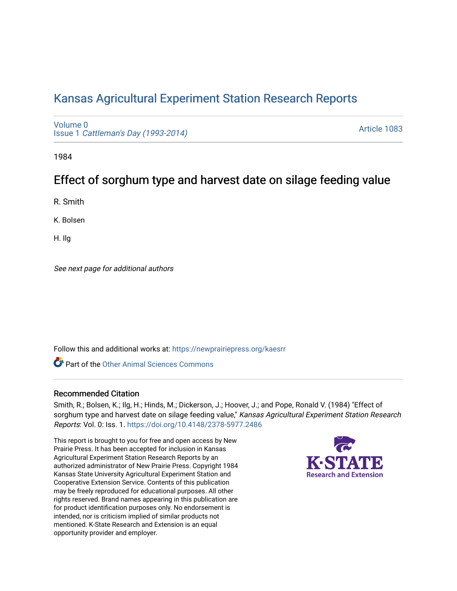# [Kansas Agricultural Experiment Station Research Reports](https://newprairiepress.org/kaesrr)

[Volume 0](https://newprairiepress.org/kaesrr/vol0) Issue 1 [Cattleman's Day \(1993-2014\)](https://newprairiepress.org/kaesrr/vol0/iss1) 

[Article 1083](https://newprairiepress.org/kaesrr/vol0/iss1/1083) 

1984

# Effect of sorghum type and harvest date on silage feeding value

R. Smith

K. Bolsen

H. Ilg

See next page for additional authors

Follow this and additional works at: [https://newprairiepress.org/kaesrr](https://newprairiepress.org/kaesrr?utm_source=newprairiepress.org%2Fkaesrr%2Fvol0%2Fiss1%2F1083&utm_medium=PDF&utm_campaign=PDFCoverPages) 

**C** Part of the [Other Animal Sciences Commons](http://network.bepress.com/hgg/discipline/82?utm_source=newprairiepress.org%2Fkaesrr%2Fvol0%2Fiss1%2F1083&utm_medium=PDF&utm_campaign=PDFCoverPages)

#### Recommended Citation

Smith, R.; Bolsen, K.; Ilg, H.; Hinds, M.; Dickerson, J.; Hoover, J.; and Pope, Ronald V. (1984) "Effect of sorghum type and harvest date on silage feeding value," Kansas Agricultural Experiment Station Research Reports: Vol. 0: Iss. 1.<https://doi.org/10.4148/2378-5977.2486>

This report is brought to you for free and open access by New Prairie Press. It has been accepted for inclusion in Kansas Agricultural Experiment Station Research Reports by an authorized administrator of New Prairie Press. Copyright 1984 Kansas State University Agricultural Experiment Station and Cooperative Extension Service. Contents of this publication may be freely reproduced for educational purposes. All other rights reserved. Brand names appearing in this publication are for product identification purposes only. No endorsement is intended, nor is criticism implied of similar products not mentioned. K-State Research and Extension is an equal opportunity provider and employer.

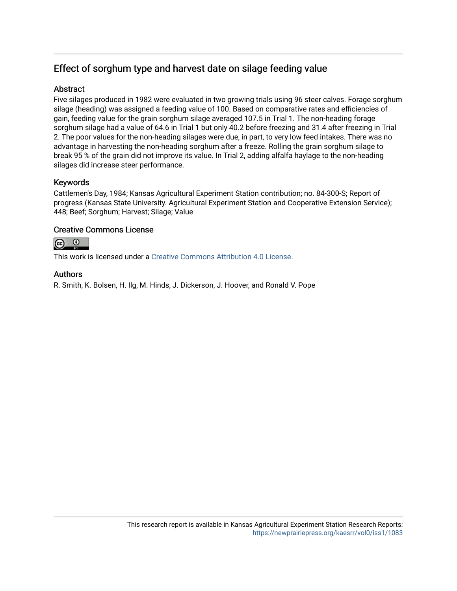# Effect of sorghum type and harvest date on silage feeding value

### Abstract

Five silages produced in 1982 were evaluated in two growing trials using 96 steer calves. Forage sorghum silage (heading) was assigned a feeding value of 100. Based on comparative rates and efficiencies of gain, feeding value for the grain sorghum silage averaged 107.5 in Trial 1. The non-heading forage sorghum silage had a value of 64.6 in Trial 1 but only 40.2 before freezing and 31.4 after freezing in Trial 2. The poor values for the non-heading silages were due, in part, to very low feed intakes. There was no advantage in harvesting the non-heading sorghum after a freeze. Rolling the grain sorghum silage to break 95 % of the grain did not improve its value. In Trial 2, adding alfalfa haylage to the non-heading silages did increase steer performance.

## Keywords

Cattlemen's Day, 1984; Kansas Agricultural Experiment Station contribution; no. 84-300-S; Report of progress (Kansas State University. Agricultural Experiment Station and Cooperative Extension Service); 448; Beef; Sorghum; Harvest; Silage; Value

### Creative Commons License



This work is licensed under a [Creative Commons Attribution 4.0 License](https://creativecommons.org/licenses/by/4.0/).

### Authors

R. Smith, K. Bolsen, H. Ilg, M. Hinds, J. Dickerson, J. Hoover, and Ronald V. Pope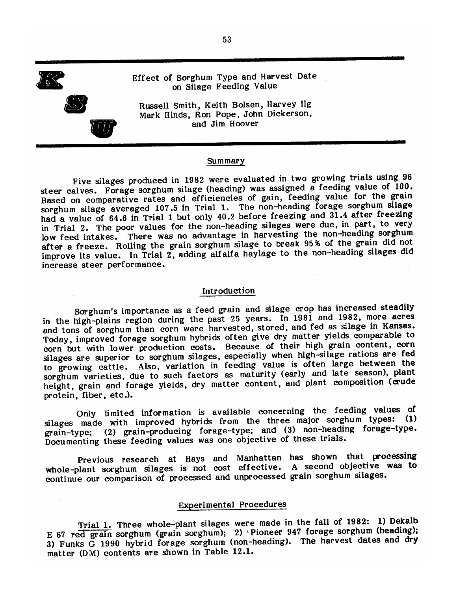

Russell Smith, Keith Bolsen, Harvey Ilg Mark Hinds, Ron Pope, John Dickerson, and Jim Hoover

#### Summary

Five silages produced in 1982 were evaluated in two growing trials using 96 steer calves. Forage sorghum silage (heading) was assigned a feeding value of 100. Based on comparative rates and efficiencies of gain, feeding value for the grain sorghum silage averaged 107.5 in Trial 1. The non-heading forage sorghum silage had a value of 64.6 in Trial 1 but only 40.2 before freezing and 31.4 after freezing in Trial 2. The poor values for the non-heading silages were due, in part, to very low feed intakes. There was no advantage in harvesting the non-heading sorghum after a freeze. Rolling the grain sorghum silage to break 95% of the grain did not improve its value. In Trial 2, adding alfalfa haylage to the non-heading silages did increase steer performance.

#### Introduction

Sorghum's importance as a feed grain and silage crop has increased steadily in the high-plains region during the past 25 years. In 1981 and 1982, more acres and tons of sorghum than corn were harvested, stored, and fed as silage in Kansas. Today, improved forage sorghum hybrids often give dry matter yields comparable to corn but with lower production costs. Because of their high grain content, corn silages are superior to sorghum silages, especially when high-silage rations are fed to growing cattle. Also, variation in feeding value is often large between the sorghum varieties, due to such factors as maturity (early and late season), plant height, grain and forage yields, dry matter content, and plant composition (crude protein, fiber, etc.).

Only limited information is available concerning the feeding values of silages made with improved hybrids from the three major sorghum types: (1) (2) grain-producing forage-type; and (3) non-heading forage-type. grain-type; Documenting these feeding values was one objective of these trials.

Previous research at Hays and Manhattan has shown that processing whole-plant sorghum silages is not cost effective. A second objective was to continue our comparison of processed and unprocessed grain sorghum silages.

## **Experimental Procedures**

Trial 1. Three whole-plant silages were made in the fall of 1982: 1) Dekalb E 67 red grain sorghum (grain sorghum); 2) Pioneer 947 forage sorghum (heading); 3) Funks G 1990 hybrid forage sorghum (non-heading). The harvest dates and dry matter (DM) contents are shown in Table 12.1.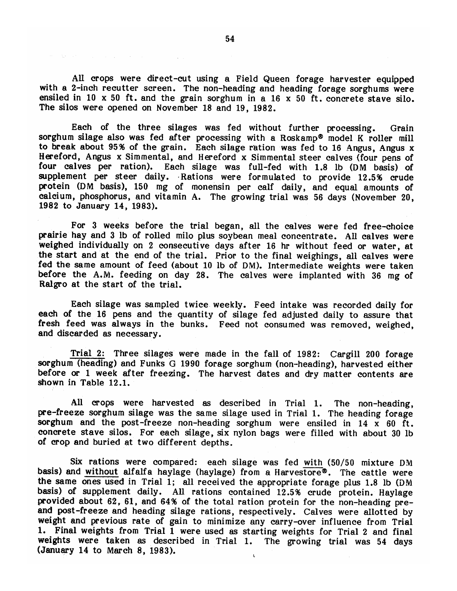All crops were direct-cut using a Field Queen forage harvester equipped with a 2-inch recutter screen. The non-heading and heading forage sorghums were ensiled in 10  $x$  50 ft. and the grain sorghum in a 16  $x$  50 ft. concrete stave silo. The silos were opened on November 18 and 19, 1982.

Each of the three silages was fed without further processing. Grain sorghum silage also was fed after processing with a Roskamp® model K roller mill to break about 95% of the grain. Each silage ration was fed to 16 Angus, Angus x Hereford, Angus x Simmental, and Hereford x Simmental steer calves (four pens of four calves per ration). Each silage was full-fed with 1.8 lb (DM basis) of supplement per steer daily. Rations were formulated to provide 12.5% crude protein (DM basis), 150 mg of monensin per calf daily, and equal amounts of calcium, phosphorus, and vitamin A. The growing trial was 56 days (November 20, 1982 to January 14, 1983).

For 3 weeks before the trial began, all the calves were fed free-choice prairie hay and 3 lb of rolled milo plus soybean meal concentrate. All calves were weighed individually on 2 consecutive days after 16 hr without feed or water, at the start and at the end of the trial. Prior to the final weighings, all calves were fed the same amount of feed (about 10 lb of DM). Intermediate weights were taken before the A.M. feeding on day 28. The calves were implanted with 36 mg of Ralgro at the start of the trial.

Each silage was sampled twice weekly. Feed intake was recorded daily for each of the 16 pens and the quantity of silage fed adjusted daily to assure that fresh feed was always in the bunks. Feed not consumed was removed, weighed, and discarded as necessary.

Trial 2: Three silages were made in the fall of 1982: Cargill 200 forage sorghum (heading) and Funks G 1990 forage sorghum (non-heading), harvested either before or 1 week after freezing. The harvest dates and dry matter contents are shown in Table 12.1.

All crops were harvested as described in Trial 1. The non-heading, pre-freeze sorghum silage was the same silage used in Trial 1. The heading forage sorghum and the post-freeze non-heading sorghum were ensiled in  $14 \times 60$  ft. concrete stave silos. For each silage, six nylon bags were filled with about 30 lb of crop and buried at two different depths.

Six rations were compared: each silage was fed with (50/50 mixture DM basis) and without alfalfa haylage (haylage) from a Harvestore<sup>®</sup>. The cattle were the same ones used in Trial 1; all received the appropriate forage plus 1.8 lb (DM basis) of supplement daily. All rations contained 12.5% crude protein. Haylage provided about 62, 61, and 64% of the total ration protein for the non-heading preand post-freeze and heading silage rations, respectively. Calves were allotted by weight and previous rate of gain to minimize any carry-over influence from Trial 1. Final weights from Trial 1 were used as starting weights for Trial 2 and final weights were taken as described in Trial 1. The growing trial was 54 days (January 14 to March 8, 1983).

the control of the control of the control of the control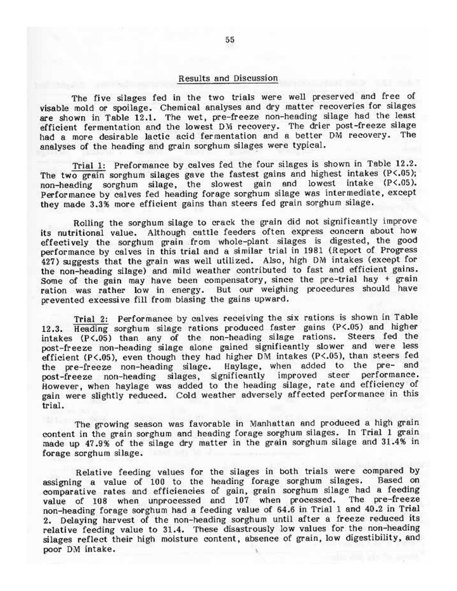#### Results and Discussion

The five silages fed in the two trials were well preserved and free of visable mold or spoilage. Chemical analyses and dry matter recoveries for silages are shown in Table 12.1. The wet, pre-freeze non-heading silage had the least efficient fermentation and the lowest DM recovery. The drier post-freeze silage had a more desirable lactic acid fermentation and a better DM recovery. The analyses of the heading and grain sorghum silages were typical.

Trial 1: Preformance by calves fed the four silages is shown in Table 12.2. The two grain sorghum silages gave the fastest gains and highest intakes (P<.05); non-heading sorghum silage, the slowest gain and lowest intake (P<.05). Performance by calves fed heading forage sorghum silage was intermediate, except they made 3.3% more efficient gains than steers fed grain sorghum silage.

Rolling the sorghum silage to crack the grain did not significantly improve its nutritional value. Although cattle feeders often express concern about how effectively the sorghum grain from whole-plant silages is digested, the good performance by calves in this trial and a similar trial in 1981 (Report of Progress 427) suggests that the grain was well utilized. Also, high DM intakes (except for the non-heading silage) and mild weather contributed to fast and efficient gains. Some of the gain may have been compensatory, since the pre-trial hay + grain ration was rather low in energy. But our weighing procedures should have prevented excessive fill from biasing the gains upward.

Trial 2: Performance by calves receiving the six rations is shown in Table 12.3. Heading sorghum silage rations produced faster gains (P<.05) and higher intakes (P<.05) than any of the non-heading silage rations. Steers fed the post-freeze non-heading silage alone gained significantly slower and were less efficient (P<.05), even though they had higher DM intakes (P<.05), than steers fed Haylage, when added to the pre- and the pre-freeze non-heading silage. post-freeze non-heading silages, significantly improved steer performance.<br>However, when haylage was added to the heading silage, rate and efficiency of gain were slightly reduced. Cold weather adversely affected performance in this trial.

The growing season was favorable in Manhattan and produced a high grain content in the grain sorghum and heading forage sorghum silages. In Trial 1 grain made up 47.9% of the silage dry matter in the grain sorghum silage and 31.4% in forage sorghum silage.

Relative feeding values for the silages in both trials were compared by assigning a value of 100 to the heading forage sorghum silages. Based on comparative rates and efficiencies of gain, grain sorghum silage had a feeding value of 108 when unprocessed and 107 when processed. The pre-freeze non-heading forage sorghum had a feeding value of 64.6 in Trial 1 and 40.2 in Trial 2. Delaying harvest of the non-heading sorghum until after a freeze reduced its relative feeding value to 31.4. These disastrously low values for the non-heading silages reflect their high moisture content, absence of grain, low digestibility, and poor DM intake.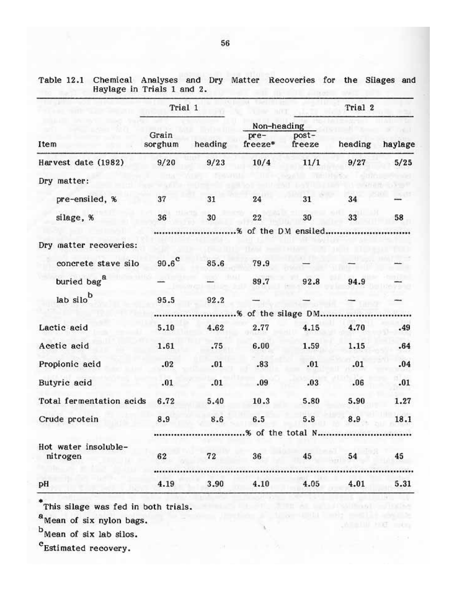|                          | Trial 1          |         |                      |                  | Trial 2 |         |
|--------------------------|------------------|---------|----------------------|------------------|---------|---------|
|                          |                  |         | Non-heading          |                  |         |         |
| Item                     | Grain<br>sorghum | heading | pre-<br>freeze*      | post-<br>freeze  | heading | haylage |
| Harvest date (1982)      | 9/20             | 9/23    | 10/4                 | 11/1             | 9/27    | 5/25    |
| Dry matter:              |                  |         |                      |                  |         |         |
| pre-ensiled, %           | 37               | 31      | 24                   | 31               | 34      |         |
| silage, %                | 36               | 30      | 22                   | 30               | 33      | 58      |
|                          |                  |         | % of the D.M ensiled |                  |         |         |
| Dry matter recoveries:   |                  |         |                      |                  |         |         |
| concrete stave silo      | $90.6^\circ$     | 85.6    | 79.9                 |                  |         |         |
| buried bag <sup>8</sup>  |                  |         | 89.7                 | 92.8             | 94.9    |         |
| lab silo <sup>b</sup>    | 95.5             | 92.2    |                      |                  |         |         |
|                          |                  |         | % of the silage DM   |                  |         |         |
| Lactic acid              | 5.10             | 4.62    | 2.77                 | 4.15             | 4.70    | .49     |
| Acetic acid              | 1.61             | .75     | 6.00                 | 1.59             | 1.15    | .64     |
| Propionic acid           | .02              | .01     | .83                  | .01              | .01     | .04     |
| Butyric acid             | .01              | .01     | .09                  | .03              | .06     | .01     |
| Total fermentation acids | 6.72             | 5.40    | 10.3                 | 5.80             | 5.90    | 1.27    |
| Crude protein            | 8.9              | 8.6     | 6.5                  | 5.8              | 8.9     | 18.1    |
|                          |                  |         |                      | % of the total N |         |         |
| Hot water insoluble-     |                  |         |                      |                  |         |         |
| nitrogen                 | 62               | 72      | 36                   | 45               | 54      | 45      |
|                          |                  |         |                      |                  |         |         |
| pH                       | 4.19             | 3.90    | 4.10                 | 4.05             | 4.01    | 5.31    |

WEBTUI HIGH mich

Table 12.1 Chemical Analyses and Dry Matter Recoveries for the Silages and Haylage in Trials 1 and 2.

\*This silage was fed in both trials.

 $a$ Mean of six nylon bags.

 $<sup>b</sup>$ Mean of six lab silos.</sup>

<sup>c</sup>Estimated recovery.